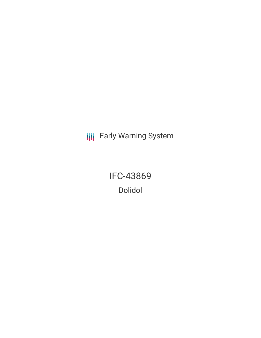**III** Early Warning System

IFC-43869 Dolidol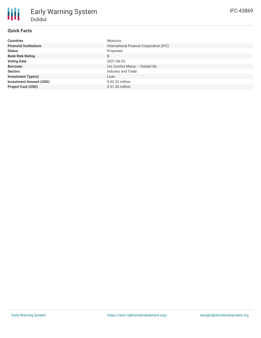# **Quick Facts**

| <b>Countries</b>               | Morocco                                 |
|--------------------------------|-----------------------------------------|
| <b>Financial Institutions</b>  | International Finance Corporation (IFC) |
| <b>Status</b>                  | Proposed                                |
| <b>Bank Risk Rating</b>        | B                                       |
| <b>Voting Date</b>             | 2021-06-25                              |
| <b>Borrower</b>                | Uni Confort Maroc - Dolidol SA          |
| <b>Sectors</b>                 | Industry and Trade                      |
| <b>Investment Type(s)</b>      | Loan                                    |
| <b>Investment Amount (USD)</b> | $$45.23$ million                        |
| <b>Project Cost (USD)</b>      | $$51.34$ million                        |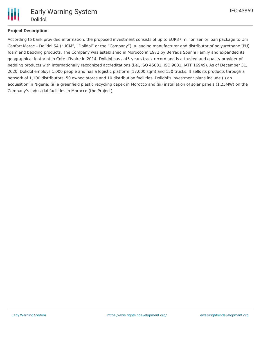

## **Project Description**

According to bank provided information, the proposed investment consists of up to EUR37 million senior loan package to Uni Confort Maroc – Dolidol SA ("UCM", "Dolidol" or the "Company"), a leading manufacturer and distributor of polyurethane (PU) foam and bedding products. The Company was established in Morocco in 1972 by Berrada Sounni Family and expanded its geographical footprint in Cote d'Ivoire in 2014. Dolidol has a 45-years track record and is a trusted and quality provider of bedding products with internationally recognized accreditations (i.e., ISO 45001, ISO 9001, IATF 16949). As of December 31, 2020, Dolidol employs 1,000 people and has a logistic platform (17,000 sqm) and 150 trucks. It sells its products through a network of 1,100 distributors, 50 owned stores and 10 distribution facilities. Dolidol's investment plans include (i) an acquisition in Nigeria, (ii) a greenfield plastic recycling capex in Morocco and (iii) installation of solar panels (1.25MW) on the Company's industrial facilities in Morocco (the Project).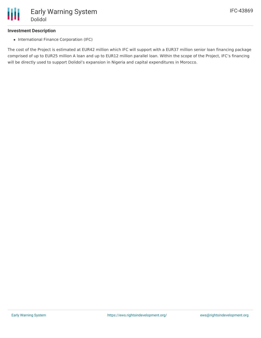### **Investment Description**

• International Finance Corporation (IFC)

The cost of the Project is estimated at EUR42 million which IFC will support with a EUR37 million senior loan financing package comprised of up to EUR25 million A loan and up to EUR12 million parallel loan. Within the scope of the Project, IFC's financing will be directly used to support Dolidol's expansion in Nigeria and capital expenditures in Morocco.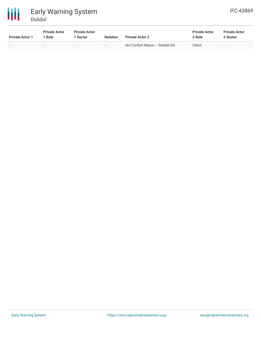

| <b>Private Actor 1</b> | <b>Private Actor</b><br>1 Role | <b>Private Actor</b><br>Sector | <b>Relation</b>          | <b>Private Actor 2</b>         | <b>Private Actor</b><br>2 Role | <b>Private Actor</b><br>2 Sector |  |
|------------------------|--------------------------------|--------------------------------|--------------------------|--------------------------------|--------------------------------|----------------------------------|--|
|                        |                                | $\overline{\phantom{a}}$       | $\overline{\phantom{0}}$ | Uni Confort Maroc - Dolidol SA | Client                         | $\overline{\phantom{0}}$         |  |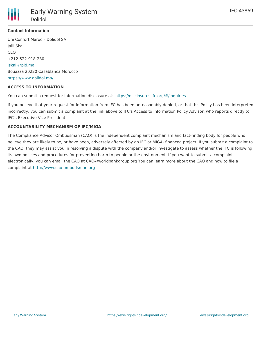

### **Contact Information**

Uni Confort Maroc – Dolidol SA Jalil Skali CEO +212-522-918-280 [jskali@pid.ma](mailto:jskali@pid.ma) Bouazza 20220 Casablanca Morocco <https://www.dolidol.ma/>

#### **ACCESS TO INFORMATION**

You can submit a request for information disclosure at: <https://disclosures.ifc.org/#/inquiries>

If you believe that your request for information from IFC has been unreasonably denied, or that this Policy has been interpreted incorrectly, you can submit a complaint at the link above to IFC's Access to Information Policy Advisor, who reports directly to IFC's Executive Vice President.

### **ACCOUNTABILITY MECHANISM OF IFC/MIGA**

The Compliance Advisor Ombudsman (CAO) is the independent complaint mechanism and fact-finding body for people who believe they are likely to be, or have been, adversely affected by an IFC or MIGA- financed project. If you submit a complaint to the CAO, they may assist you in resolving a dispute with the company and/or investigate to assess whether the IFC is following its own policies and procedures for preventing harm to people or the environment. If you want to submit a complaint electronically, you can email the CAO at CAO@worldbankgroup.org You can learn more about the CAO and how to file a complaint at <http://www.cao-ombudsman.org>